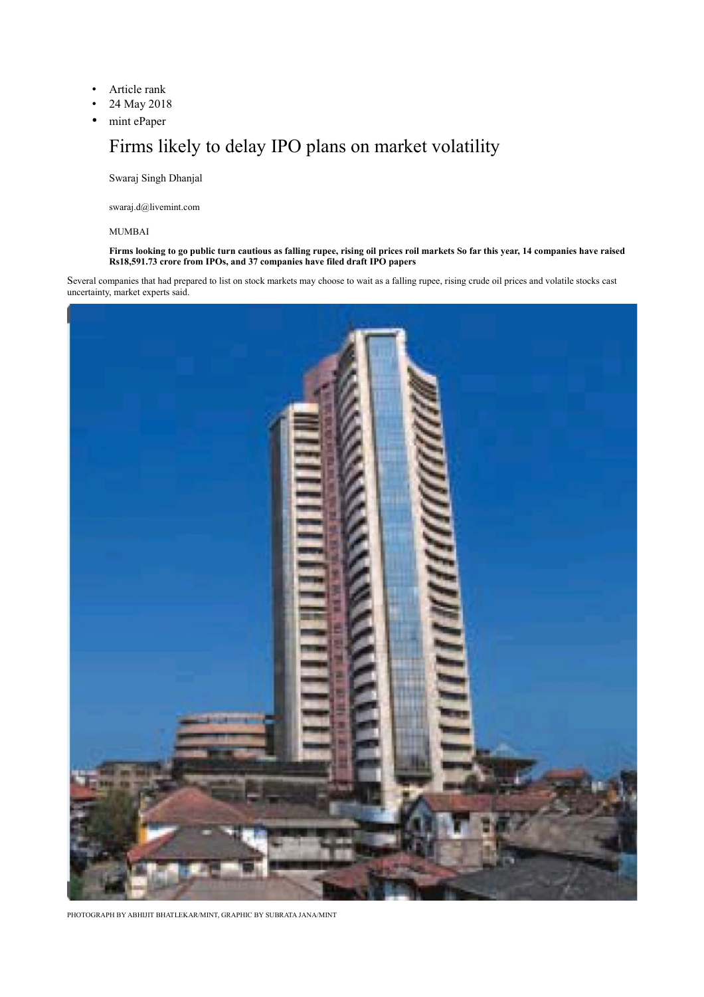- Article rank
- 24 May 2018
- mint ePaper

## Firms likely to delay IPO plans on market volatility

Swaraj Singh Dhanjal

swaraj.d@livemint.com

## MUMBAI

**Firms looking to go public turn cautious as falling rupee, rising oil prices roil markets So far this year, 14 companies have raised Rs18,591.73 crore from IPOs, and 37 companies have filed draft IPO papers**

Several companies that had prepared to list on stock markets may choose to wait as a falling rupee, rising crude oil prices and volatile stocks cast uncertainty, market experts said.



PHOTOGRAPH BY ABHIJIT BHATLEKAR/MINT, GRAPHIC BY SUBRATA JANA/MINT